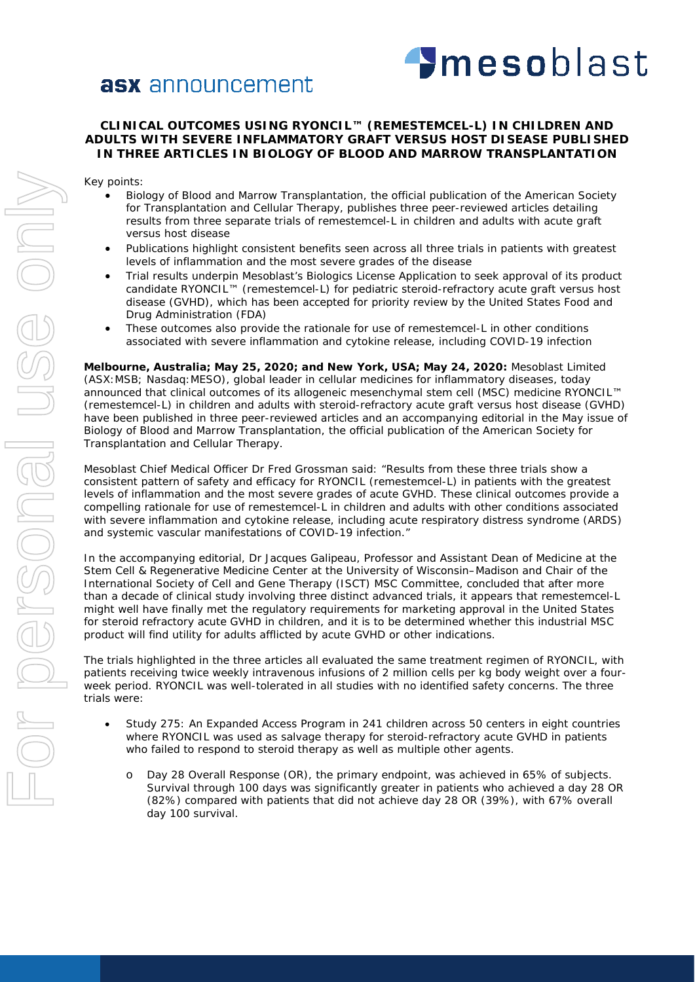# **asx** announcement



# **CLINICAL OUTCOMES USING RYONCIL™ (REMESTEMCEL-L) IN CHILDREN AND ADULTS WITH SEVERE INFLAMMATORY GRAFT VERSUS HOST DISEASE PUBLISHED IN THREE ARTICLES IN BIOLOGY OF BLOOD AND MARROW TRANSPLANTATION**

Key points:

- Biology of Blood and Marrow Transplantation, the official publication of the American Society for Transplantation and Cellular Therapy, publishes three peer-reviewed articles detailing results from three separate trials of remestemcel-L in children and adults with acute graft versus host disease
- Publications highlight consistent benefits seen across all three trials in patients with greatest levels of inflammation and the most severe grades of the disease
- Trial results underpin Mesoblast's Biologics License Application to seek approval of its product candidate RYONCIL™ (remestemcel-L) for pediatric steroid-refractory acute graft versus host disease (GVHD), which has been accepted for priority review by the United States Food and Drug Administration (FDA)
- These outcomes also provide the rationale for use of remestemcel-L in other conditions associated with severe inflammation and cytokine release, including COVID-19 infection

**Melbourne, Australia; May 25, 2020; and New York, USA; May 24, 2020:** Mesoblast Limited (ASX:MSB; Nasdaq:MESO), global leader in cellular medicines for inflammatory diseases, today announced that clinical outcomes of its allogeneic mesenchymal stem cell (MSC) medicine RYONCIL™ (remestemcel-L) in children and adults with steroid-refractory acute graft versus host disease (GVHD) have been published in three peer-reviewed articles and an accompanying editorial in the May issue of Biology of Blood and Marrow Transplantation, the official publication of the American Society for Transplantation and Cellular Therapy.

Mesoblast Chief Medical Officer Dr Fred Grossman said: "Results from these three trials show a consistent pattern of safety and efficacy for RYONCIL (remestemcel-L) in patients with the greatest levels of inflammation and the most severe grades of acute GVHD. These clinical outcomes provide a compelling rationale for use of remestemcel-L in children and adults with other conditions associated with severe inflammation and cytokine release, including acute respiratory distress syndrome (ARDS) and systemic vascular manifestations of COVID-19 infection."

In the accompanying editorial, Dr Jacques Galipeau, Professor and Assistant Dean of Medicine at the Stem Cell & Regenerative Medicine Center at the University of Wisconsin–Madison and Chair of the International Society of Cell and Gene Therapy (ISCT) MSC Committee, concluded that after more than a decade of clinical study involving three distinct advanced trials, it appears that remestemcel-L might well have finally met the regulatory requirements for marketing approval in the United States for steroid refractory acute GVHD in children, and it is to be determined whether this industrial MSC product will find utility for adults afflicted by acute GVHD or other indications.

The trials highlighted in the three articles all evaluated the same treatment regimen of RYONCIL, with patients receiving twice weekly intravenous infusions of 2 million cells per kg body weight over a fourweek period. RYONCIL was well-tolerated in all studies with no identified safety concerns. The three trials were:

- Study 275: An Expanded Access Program in 241 children across 50 centers in eight countries where RYONCIL was used as salvage therapy for steroid-refractory acute GVHD in patients who failed to respond to steroid therapy as well as multiple other agents.
	- o Day 28 Overall Response (OR), the primary endpoint, was achieved in 65% of subjects. Survival through 100 days was significantly greater in patients who achieved a day 28 OR (82%) compared with patients that did not achieve day 28 OR (39%), with 67% overall day 100 survival.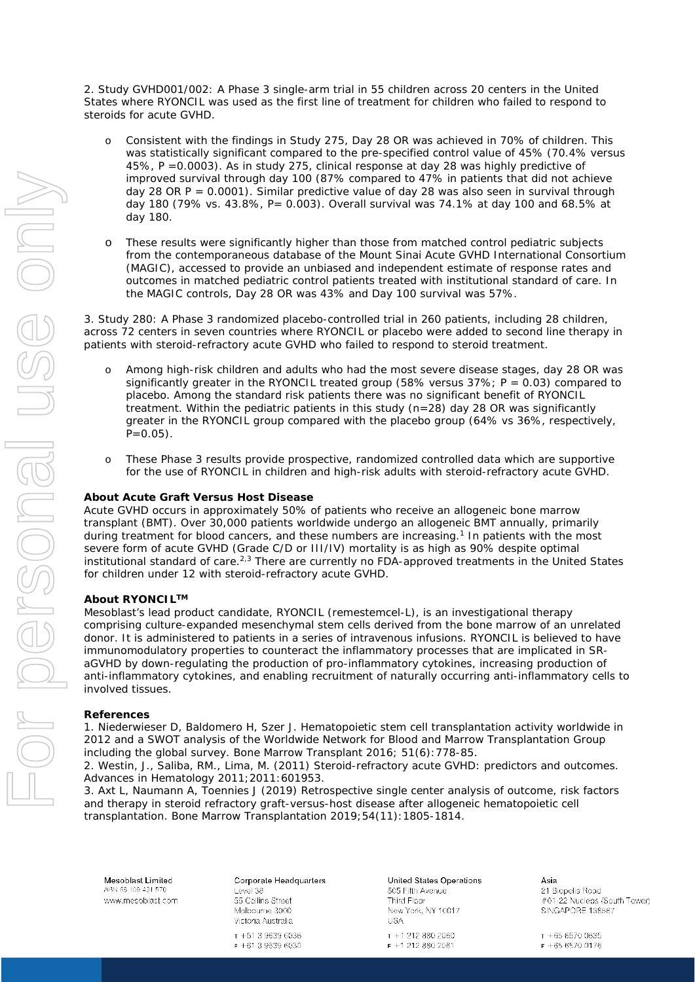2. Study GVHD001/002: A Phase 3 single-arm trial in 55 children across 20 centers in the United States where RYONCIL was used as the first line of treatment for children who failed to respond to steroids for acute GVHD.

- o Consistent with the findings in Study 275, Day 28 OR was achieved in 70% of children. This was statistically significant compared to the pre-specified control value of 45% (70.4% versus 45%, P =0.0003). As in study 275, clinical response at day 28 was highly predictive of improved survival through day 100 (87% compared to 47% in patients that did not achieve day 28 OR  $P = 0.0001$ ). Similar predictive value of day 28 was also seen in survival through day 180 (79% vs. 43.8%, P= 0.003). Overall survival was 74.1% at day 100 and 68.5% at day 180.
- o These results were significantly higher than those from matched control pediatric subjects from the contemporaneous database of the Mount Sinai Acute GVHD International Consortium (MAGIC), accessed to provide an unbiased and independent estimate of response rates and outcomes in matched pediatric control patients treated with institutional standard of care. In the MAGIC controls, Day 28 OR was 43% and Day 100 survival was 57%.

3. Study 280: A Phase 3 randomized placebo-controlled trial in 260 patients, including 28 children, across 72 centers in seven countries where RYONCIL or placebo were added to second line therapy in patients with steroid-refractory acute GVHD who failed to respond to steroid treatment.

- o Among high-risk children and adults who had the most severe disease stages, day 28 OR was significantly greater in the RYONCIL treated group (58% versus  $37\%$ ; P = 0.03) compared to placebo. Among the standard risk patients there was no significant benefit of RYONCIL treatment. Within the pediatric patients in this study (n=28) day 28 OR was significantly greater in the RYONCIL group compared with the placebo group (64% vs 36%, respectively,  $P=0.05$ ).
- o These Phase 3 results provide prospective, randomized controlled data which are supportive for the use of RYONCIL in children and high-risk adults with steroid-refractory acute GVHD.

## **About Acute Graft Versus Host Disease**

Acute GVHD occurs in approximately 50% of patients who receive an allogeneic bone marrow transplant (BMT). Over 30,000 patients worldwide undergo an allogeneic BMT annually, primarily during treatment for blood cancers, and these numbers are increasing.<sup>1</sup> In patients with the most severe form of acute GVHD (Grade C/D or III/IV) mortality is as high as 90% despite optimal institutional standard of care.<sup>2,3</sup> There are currently no FDA-approved treatments in the United States for children under 12 with steroid-refractory acute GVHD.

#### **About RYONCILTM**

Mesoblast's lead product candidate, RYONCIL (remestemcel-L), is an investigational therapy comprising culture-expanded mesenchymal stem cells derived from the bone marrow of an unrelated donor. It is administered to patients in a series of intravenous infusions. RYONCIL is believed to have immunomodulatory properties to counteract the inflammatory processes that are implicated in SRaGVHD by down-regulating the production of pro-inflammatory cytokines, increasing production of anti-inflammatory cytokines, and enabling recruitment of naturally occurring anti-inflammatory cells to involved tissues.

#### **References**

1. Niederwieser D, Baldomero H, Szer J. Hematopoietic stem cell transplantation activity worldwide in 2012 and a SWOT analysis of the Worldwide Network for Blood and Marrow Transplantation Group including the global survey. Bone Marrow Transplant 2016; 51(6):778-85.

2. Westin, J., Saliba, RM., Lima, M. (2011) Steroid-refractory acute GVHD: predictors and outcomes. Advances in Hematology 2011;2011:601953.

3. Axt L, Naumann A, Toennies J (2019) Retrospective single center analysis of outcome, risk factors and therapy in steroid refractory graft-versus-host disease after allogeneic hematopoietic cell transplantation. Bone Marrow Transplantation 2019;54(11):1805-1814.

Mesoblast Limited ARN 68 109 431 870 www.mesoblast.com

Corporate Headquarters Level 38 55 Collins Street Melbourne 3000

Victoria Australia  $T + 61, 3, 9639, 6036$  $F + 61396396030$  United States Operations 505 Fifth Avenue Third Floor New York, NY 10017 **USA** 

T +1 212 880 2060  $F + 12128802061$  Asia 21 Biopolis Road #01-22 Nucleos (South Tower) SINGAPORE 138567

 $T + 6565700635$  $F + 6565700176$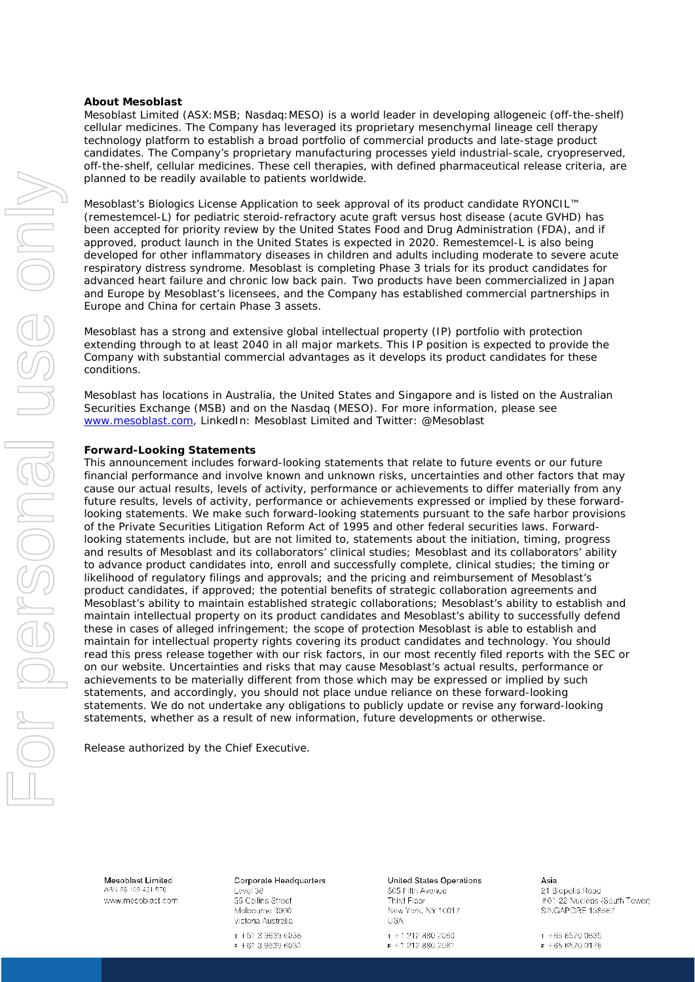#### **About Mesoblast**

Mesoblast Limited (ASX:MSB; Nasdaq:MESO) is a world leader in developing allogeneic (off-the-shelf) cellular medicines. The Company has leveraged its proprietary mesenchymal lineage cell therapy technology platform to establish a broad portfolio of commercial products and late-stage product candidates. The Company's proprietary manufacturing processes yield industrial-scale, cryopreserved, off-the-shelf, cellular medicines. These cell therapies, with defined pharmaceutical release criteria, are planned to be readily available to patients worldwide.

Mesoblast's Biologics License Application to seek approval of its product candidate RYONCIL™ (remestemcel-L) for pediatric steroid-refractory acute graft versus host disease (acute GVHD) has been accepted for priority review by the United States Food and Drug Administration (FDA), and if approved, product launch in the United States is expected in 2020. Remestemcel-L is also being developed for other inflammatory diseases in children and adults including moderate to severe acute respiratory distress syndrome. Mesoblast is completing Phase 3 trials for its product candidates for advanced heart failure and chronic low back pain. Two products have been commercialized in Japan and Europe by Mesoblast's licensees, and the Company has established commercial partnerships in Europe and China for certain Phase 3 assets.

Mesoblast has a strong and extensive global intellectual property (IP) portfolio with protection extending through to at least 2040 in all major markets. This IP position is expected to provide the Company with substantial commercial advantages as it develops its product candidates for these conditions.

Mesoblast has locations in Australia, the United States and Singapore and is listed on the Australian Securities Exchange (MSB) and on the Nasdaq (MESO). For more information, please see [www.mesoblast.com,](http://www.mesoblast.com/) LinkedIn: Mesoblast Limited and Twitter: @Mesoblast

### **Forward-Looking Statements**

This announcement includes forward-looking statements that relate to future events or our future financial performance and involve known and unknown risks, uncertainties and other factors that may cause our actual results, levels of activity, performance or achievements to differ materially from any future results, levels of activity, performance or achievements expressed or implied by these forwardlooking statements. We make such forward-looking statements pursuant to the safe harbor provisions of the Private Securities Litigation Reform Act of 1995 and other federal securities laws. Forwardlooking statements include, but are not limited to, statements about the initiation, timing, progress and results of Mesoblast and its collaborators' clinical studies; Mesoblast and its collaborators' ability to advance product candidates into, enroll and successfully complete, clinical studies; the timing or likelihood of regulatory filings and approvals; and the pricing and reimbursement of Mesoblast's product candidates, if approved; the potential benefits of strategic collaboration agreements and Mesoblast's ability to maintain established strategic collaborations; Mesoblast's ability to establish and maintain intellectual property on its product candidates and Mesoblast's ability to successfully defend these in cases of alleged infringement; the scope of protection Mesoblast is able to establish and maintain for intellectual property rights covering its product candidates and technology. You should read this press release together with our risk factors, in our most recently filed reports with the SEC or on our website. Uncertainties and risks that may cause Mesoblast's actual results, performance or achievements to be materially different from those which may be expressed or implied by such statements, and accordingly, you should not place undue reliance on these forward-looking statements. We do not undertake any obligations to publicly update or revise any forward-looking statements, whether as a result of new information, future developments or otherwise.

Release authorized by the Chief Executive.

Mesoblast Limited ABN 68 109 431 870 www.mesoblast.com Corporate Headquarters Level 38 55 Collins Street

Melbourne 3000 Victoria Australia  $T + 61, 3, 9639, 6036$ 

 $F + 61396396030$ 

United States Operations 505 Fifth Avenue Third Floor New York, NY 10017

**USA** T +1 212 880 2060  $F + 12128802061$ 

Asia 21 Biopolis Road #01-22 Nucleos (South Tower) SINGAPORE 138567

For personal use only ISS ON J Densonel